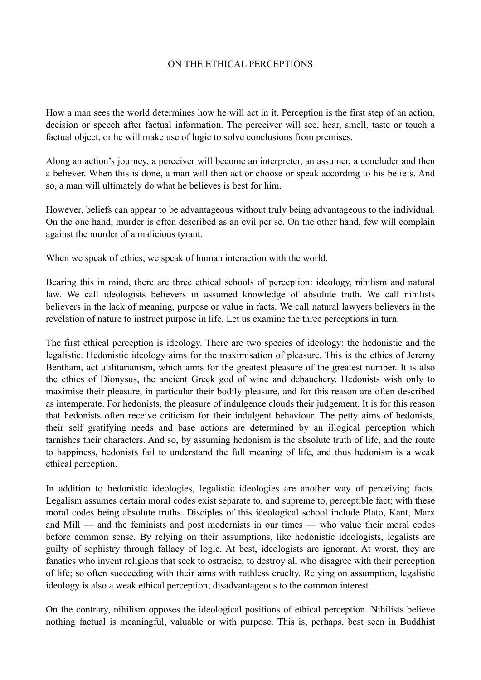## ON THE ETHICAL PERCEPTIONS

How a man sees the world determines how he will act in it. Perception is the first step of an action, decision or speech after factual information. The perceiver will see, hear, smell, taste or touch a factual object, or he will make use of logic to solve conclusions from premises.

Along an action's journey, a perceiver will become an interpreter, an assumer, a concluder and then a believer. When this is done, a man will then act or choose or speak according to his beliefs. And so, a man will ultimately do what he believes is best for him.

However, beliefs can appear to be advantageous without truly being advantageous to the individual. On the one hand, murder is often described as an evil per se. On the other hand, few will complain against the murder of a malicious tyrant.

When we speak of ethics, we speak of human interaction with the world.

Bearing this in mind, there are three ethical schools of perception: ideology, nihilism and natural law. We call ideologists believers in assumed knowledge of absolute truth. We call nihilists believers in the lack of meaning, purpose or value in facts. We call natural lawyers believers in the revelation of nature to instruct purpose in life. Let us examine the three perceptions in turn.

The first ethical perception is ideology. There are two species of ideology: the hedonistic and the legalistic. Hedonistic ideology aims for the maximisation of pleasure. This is the ethics of Jeremy Bentham, act utilitarianism, which aims for the greatest pleasure of the greatest number. It is also the ethics of Dionysus, the ancient Greek god of wine and debauchery. Hedonists wish only to maximise their pleasure, in particular their bodily pleasure, and for this reason are often described as intemperate. For hedonists, the pleasure of indulgence clouds their judgement. It is for this reason that hedonists often receive criticism for their indulgent behaviour. The petty aims of hedonists, their self gratifying needs and base actions are determined by an illogical perception which tarnishes their characters. And so, by assuming hedonism is the absolute truth of life, and the route to happiness, hedonists fail to understand the full meaning of life, and thus hedonism is a weak ethical perception.

In addition to hedonistic ideologies, legalistic ideologies are another way of perceiving facts. Legalism assumes certain moral codes exist separate to, and supreme to, perceptible fact; with these moral codes being absolute truths. Disciples of this ideological school include Plato, Kant, Marx and Mill — and the feminists and post modernists in our times — who value their moral codes before common sense. By relying on their assumptions, like hedonistic ideologists, legalists are guilty of sophistry through fallacy of logic. At best, ideologists are ignorant. At worst, they are fanatics who invent religions that seek to ostracise, to destroy all who disagree with their perception of life; so often succeeding with their aims with ruthless cruelty. Relying on assumption, legalistic ideology is also a weak ethical perception; disadvantageous to the common interest.

On the contrary, nihilism opposes the ideological positions of ethical perception. Nihilists believe nothing factual is meaningful, valuable or with purpose. This is, perhaps, best seen in Buddhist